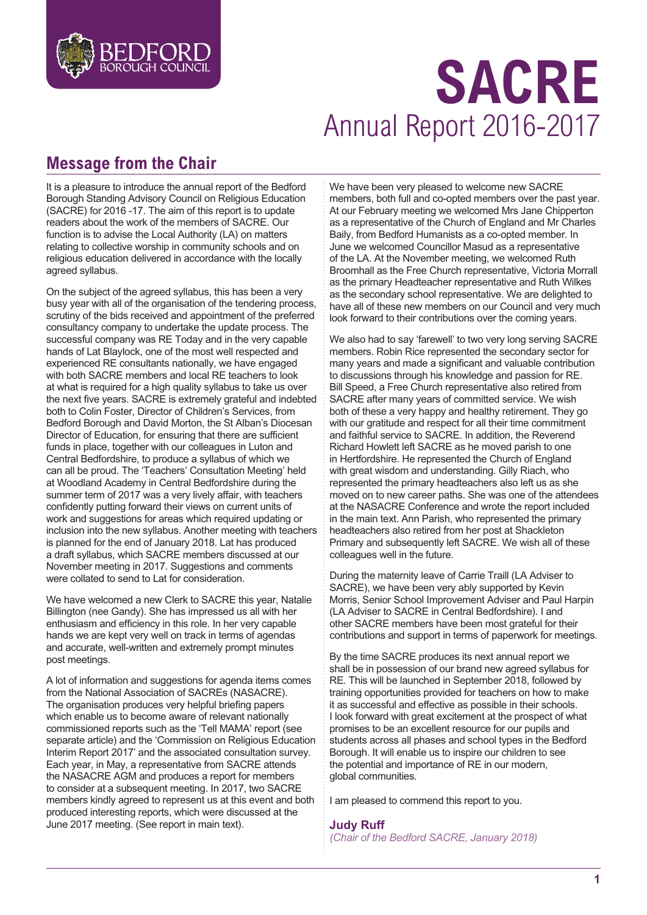

# **SACRE** Annual Report 2016-2017

# **Message from the Chair**

It is a pleasure to introduce the annual report of the Bedford Borough Standing Advisory Council on Religious Education (SACRE) for 2016 -17. The aim of this report is to update readers about the work of the members of SACRE. Our function is to advise the Local Authority (LA) on matters relating to collective worship in community schools and on religious education delivered in accordance with the locally agreed syllabus.

On the subject of the agreed syllabus, this has been a very busy year with all of the organisation of the tendering process, scrutiny of the bids received and appointment of the preferred consultancy company to undertake the update process. The successful company was RE Today and in the very capable hands of Lat Blaylock, one of the most well respected and experienced RE consultants nationally, we have engaged with both SACRE members and local RE teachers to look at what is required for a high quality syllabus to take us over the next five years. SACRE is extremely grateful and indebted both to Colin Foster, Director of Children's Services, from Bedford Borough and David Morton, the St Alban's Diocesan Director of Education, for ensuring that there are sufficient funds in place, together with our colleagues in Luton and Central Bedfordshire, to produce a syllabus of which we can all be proud. The 'Teachers' Consultation Meeting' held at Woodland Academy in Central Bedfordshire during the summer term of 2017 was a very lively affair, with teachers confidently putting forward their views on current units of work and suggestions for areas which required updating or inclusion into the new syllabus. Another meeting with teachers is planned for the end of January 2018. Lat has produced a draft syllabus, which SACRE members discussed at our November meeting in 2017. Suggestions and comments were collated to send to Lat for consideration.

We have welcomed a new Clerk to SACRE this year, Natalie Billington (nee Gandy). She has impressed us all with her enthusiasm and efficiency in this role. In her very capable hands we are kept very well on track in terms of agendas and accurate, well-written and extremely prompt minutes post meetings.

A lot of information and suggestions for agenda items comes from the National Association of SACREs (NASACRE). The organisation produces very helpful briefing papers which enable us to become aware of relevant nationally commissioned reports such as the 'Tell MAMA' report (see separate article) and the 'Commission on Religious Education Interim Report 2017' and the associated consultation survey. Each year, in May, a representative from SACRE attends the NASACRE AGM and produces a report for members to consider at a subsequent meeting. In 2017, two SACRE members kindly agreed to represent us at this event and both produced interesting reports, which were discussed at the June 2017 meeting. (See report in main text).

We have been very pleased to welcome new SACRE members, both full and co-opted members over the past year. At our February meeting we welcomed Mrs Jane Chipperton as a representative of the Church of England and Mr Charles Baily, from Bedford Humanists as a co-opted member. In June we welcomed Councillor Masud as a representative of the LA. At the November meeting, we welcomed Ruth Broomhall as the Free Church representative, Victoria Morrall as the primary Headteacher representative and Ruth Wilkes as the secondary school representative. We are delighted to have all of these new members on our Council and very much look forward to their contributions over the coming years.

We also had to say 'farewell' to two very long serving SACRE members. Robin Rice represented the secondary sector for many years and made a significant and valuable contribution to discussions through his knowledge and passion for RE. Bill Speed, a Free Church representative also retired from SACRE after many years of committed service. We wish both of these a very happy and healthy retirement. They go with our gratitude and respect for all their time commitment and faithful service to SACRE. In addition, the Reverend Richard Howlett left SACRE as he moved parish to one in Hertfordshire. He represented the Church of England with great wisdom and understanding. Gilly Riach, who represented the primary headteachers also left us as she moved on to new career paths. She was one of the attendees at the NASACRE Conference and wrote the report included in the main text. Ann Parish, who represented the primary headteachers also retired from her post at Shackleton Primary and subsequently left SACRE. We wish all of these colleagues well in the future.

During the maternity leave of Carrie Traill (LA Adviser to SACRE), we have been very ably supported by Kevin Morris, Senior School Improvement Adviser and Paul Harpin (LA Adviser to SACRE in Central Bedfordshire). I and other SACRE members have been most grateful for their contributions and support in terms of paperwork for meetings.

By the time SACRE produces its next annual report we shall be in possession of our brand new agreed syllabus for RE. This will be launched in September 2018, followed by training opportunities provided for teachers on how to make it as successful and effective as possible in their schools. I look forward with great excitement at the prospect of what promises to be an excellent resource for our pupils and students across all phases and school types in the Bedford Borough. It will enable us to inspire our children to see the potential and importance of RE in our modern, global communities.

I am pleased to commend this report to you.

#### **Judy Ruff**

*(Chair of the Bedford SACRE, January 2018)*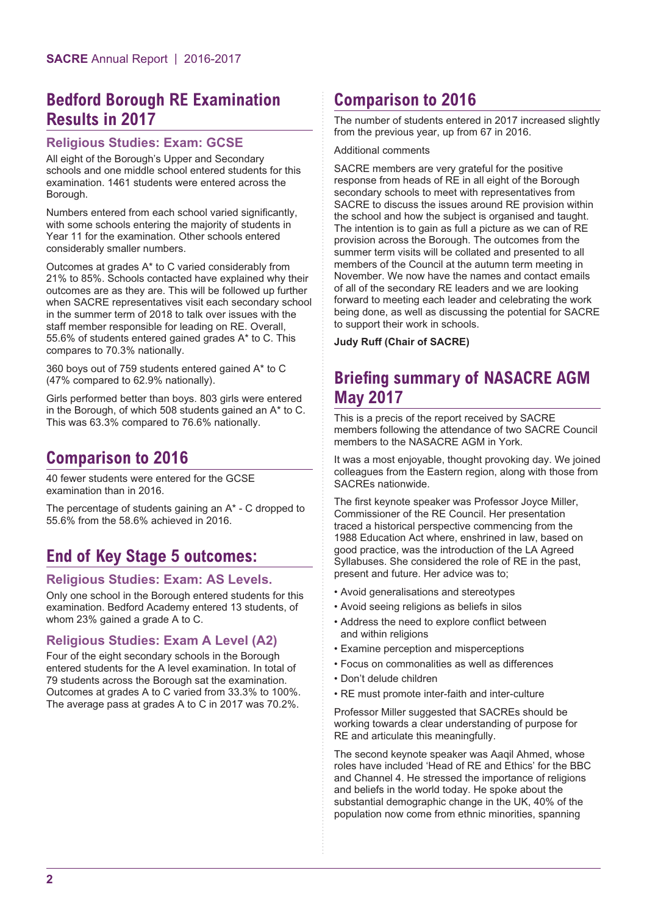## **Bedford Borough RE Examination Results in 2017**

#### **Religious Studies: Exam: GCSE**

All eight of the Borough's Upper and Secondary schools and one middle school entered students for this examination. 1461 students were entered across the Borough.

Numbers entered from each school varied significantly, with some schools entering the majority of students in Year 11 for the examination. Other schools entered considerably smaller numbers.

Outcomes at grades A\* to C varied considerably from 21% to 85%. Schools contacted have explained why their outcomes are as they are. This will be followed up further when SACRE representatives visit each secondary school in the summer term of 2018 to talk over issues with the staff member responsible for leading on RE. Overall, 55.6% of students entered gained grades A\* to C. This compares to 70.3% nationally.

360 boys out of 759 students entered gained A\* to C (47% compared to 62.9% nationally).

Girls performed better than boys. 803 girls were entered in the Borough, of which 508 students gained an A\* to C. This was 63.3% compared to 76.6% nationally.

## **Comparison to 2016**

40 fewer students were entered for the GCSE examination than in 2016.

The percentage of students gaining an A\* - C dropped to 55.6% from the 58.6% achieved in 2016.

## **End of Key Stage 5 outcomes:**

#### **Religious Studies: Exam: AS Levels.**

Only one school in the Borough entered students for this examination. Bedford Academy entered 13 students, of whom 23% gained a grade A to C.

#### **Religious Studies: Exam A Level (A2)**

Four of the eight secondary schools in the Borough entered students for the A level examination. In total of 79 students across the Borough sat the examination. Outcomes at grades A to C varied from 33.3% to 100%. The average pass at grades A to C in 2017 was 70.2%.

## **Comparison to 2016**

The number of students entered in 2017 increased slightly from the previous year, up from 67 in 2016.

#### Additional comments

SACRE members are very grateful for the positive response from heads of RE in all eight of the Borough secondary schools to meet with representatives from SACRE to discuss the issues around RE provision within the school and how the subject is organised and taught. The intention is to gain as full a picture as we can of RE provision across the Borough. The outcomes from the summer term visits will be collated and presented to all members of the Council at the autumn term meeting in November. We now have the names and contact emails of all of the secondary RE leaders and we are looking forward to meeting each leader and celebrating the work being done, as well as discussing the potential for SACRE to support their work in schools.

**Judy Ruff (Chair of SACRE)**

#### **Briefing summary of NASACRE AGM May 2017**

This is a precis of the report received by SACRE members following the attendance of two SACRE Council members to the NASACRE AGM in York.

It was a most enjoyable, thought provoking day. We joined colleagues from the Eastern region, along with those from SACREs nationwide.

The first keynote speaker was Professor Joyce Miller, Commissioner of the RE Council. Her presentation traced a historical perspective commencing from the 1988 Education Act where, enshrined in law, based on good practice, was the introduction of the LA Agreed Syllabuses. She considered the role of RE in the past, present and future. Her advice was to;

- Avoid generalisations and stereotypes
- Avoid seeing religions as beliefs in silos
- Address the need to explore conflict between and within religions
- Examine perception and misperceptions
- Focus on commonalities as well as differences
- Don't delude children
- RE must promote inter-faith and inter-culture

Professor Miller suggested that SACREs should be working towards a clear understanding of purpose for RE and articulate this meaningfully.

The second keynote speaker was Aaqil Ahmed, whose roles have included 'Head of RE and Ethics' for the BBC and Channel 4. He stressed the importance of religions and beliefs in the world today. He spoke about the substantial demographic change in the UK, 40% of the population now come from ethnic minorities, spanning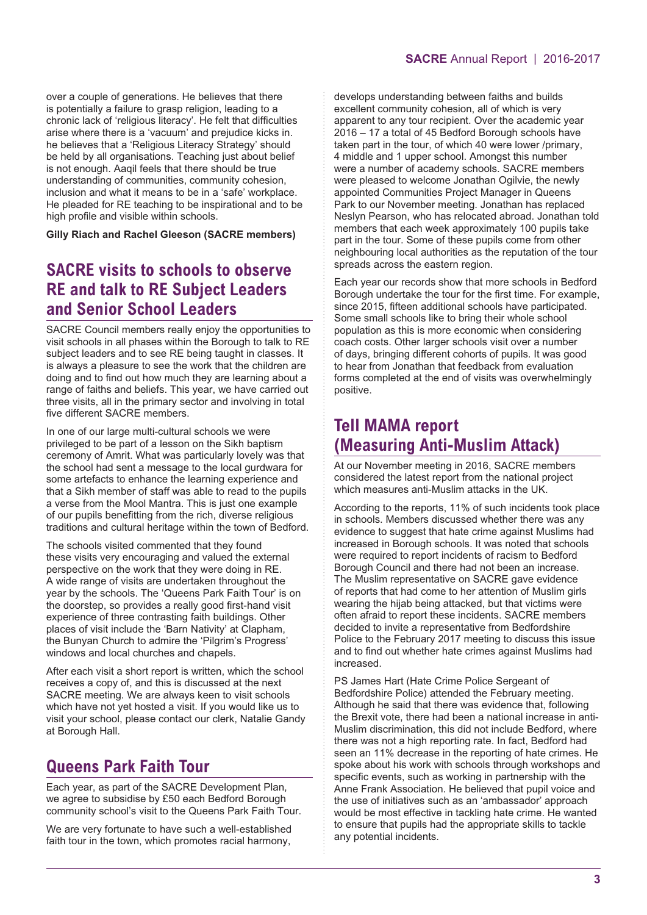over a couple of generations. He believes that there is potentially a failure to grasp religion, leading to a chronic lack of 'religious literacy'. He felt that difficulties arise where there is a 'vacuum' and prejudice kicks in. he believes that a 'Religious Literacy Strategy' should be held by all organisations. Teaching just about belief is not enough. Aaqil feels that there should be true understanding of communities, community cohesion, inclusion and what it means to be in a 'safe' workplace. He pleaded for RE teaching to be inspirational and to be high profile and visible within schools.

**Gilly Riach and Rachel Gleeson (SACRE members)**

#### **SACRE visits to schools to observe RE and talk to RE Subject Leaders and Senior School Leaders**

SACRE Council members really enjoy the opportunities to visit schools in all phases within the Borough to talk to RE subject leaders and to see RE being taught in classes. It is always a pleasure to see the work that the children are doing and to find out how much they are learning about a range of faiths and beliefs. This year, we have carried out three visits, all in the primary sector and involving in total five different SACRE members.

In one of our large multi-cultural schools we were privileged to be part of a lesson on the Sikh baptism ceremony of Amrit. What was particularly lovely was that the school had sent a message to the local gurdwara for some artefacts to enhance the learning experience and that a Sikh member of staff was able to read to the pupils a verse from the Mool Mantra. This is just one example of our pupils benefitting from the rich, diverse religious traditions and cultural heritage within the town of Bedford.

The schools visited commented that they found these visits very encouraging and valued the external perspective on the work that they were doing in RE. A wide range of visits are undertaken throughout the year by the schools. The 'Queens Park Faith Tour' is on the doorstep, so provides a really good first-hand visit experience of three contrasting faith buildings. Other places of visit include the 'Barn Nativity' at Clapham, the Bunyan Church to admire the 'Pilgrim's Progress' windows and local churches and chapels.

After each visit a short report is written, which the school receives a copy of, and this is discussed at the next SACRE meeting. We are always keen to visit schools which have not yet hosted a visit. If you would like us to visit your school, please contact our clerk, Natalie Gandy at Borough Hall.

## **Queens Park Faith Tour**

Each year, as part of the SACRE Development Plan, we agree to subsidise by £50 each Bedford Borough community school's visit to the Queens Park Faith Tour.

We are very fortunate to have such a well-established faith tour in the town, which promotes racial harmony,

develops understanding between faiths and builds excellent community cohesion, all of which is very apparent to any tour recipient. Over the academic year 2016 – 17 a total of 45 Bedford Borough schools have taken part in the tour, of which 40 were lower /primary, 4 middle and 1 upper school. Amongst this number were a number of academy schools. SACRE members were pleased to welcome Jonathan Ogilvie, the newly appointed Communities Project Manager in Queens Park to our November meeting. Jonathan has replaced Neslyn Pearson, who has relocated abroad. Jonathan told members that each week approximately 100 pupils take part in the tour. Some of these pupils come from other neighbouring local authorities as the reputation of the tour spreads across the eastern region.

Each year our records show that more schools in Bedford Borough undertake the tour for the first time. For example, since 2015, fifteen additional schools have participated. Some small schools like to bring their whole school population as this is more economic when considering coach costs. Other larger schools visit over a number of days, bringing different cohorts of pupils. It was good to hear from Jonathan that feedback from evaluation forms completed at the end of visits was overwhelmingly positive.

#### **Tell MAMA report (Measuring Anti-Muslim Attack)**

At our November meeting in 2016, SACRE members considered the latest report from the national project which measures anti-Muslim attacks in the UK.

According to the reports, 11% of such incidents took place in schools. Members discussed whether there was any evidence to suggest that hate crime against Muslims had increased in Borough schools. It was noted that schools were required to report incidents of racism to Bedford Borough Council and there had not been an increase. The Muslim representative on SACRE gave evidence of reports that had come to her attention of Muslim girls wearing the hijab being attacked, but that victims were often afraid to report these incidents. SACRE members decided to invite a representative from Bedfordshire Police to the February 2017 meeting to discuss this issue and to find out whether hate crimes against Muslims had increased.

PS James Hart (Hate Crime Police Sergeant of Bedfordshire Police) attended the February meeting. Although he said that there was evidence that, following the Brexit vote, there had been a national increase in anti-Muslim discrimination, this did not include Bedford, where there was not a high reporting rate. In fact, Bedford had seen an 11% decrease in the reporting of hate crimes. He spoke about his work with schools through workshops and specific events, such as working in partnership with the Anne Frank Association. He believed that pupil voice and the use of initiatives such as an 'ambassador' approach would be most effective in tackling hate crime. He wanted to ensure that pupils had the appropriate skills to tackle any potential incidents.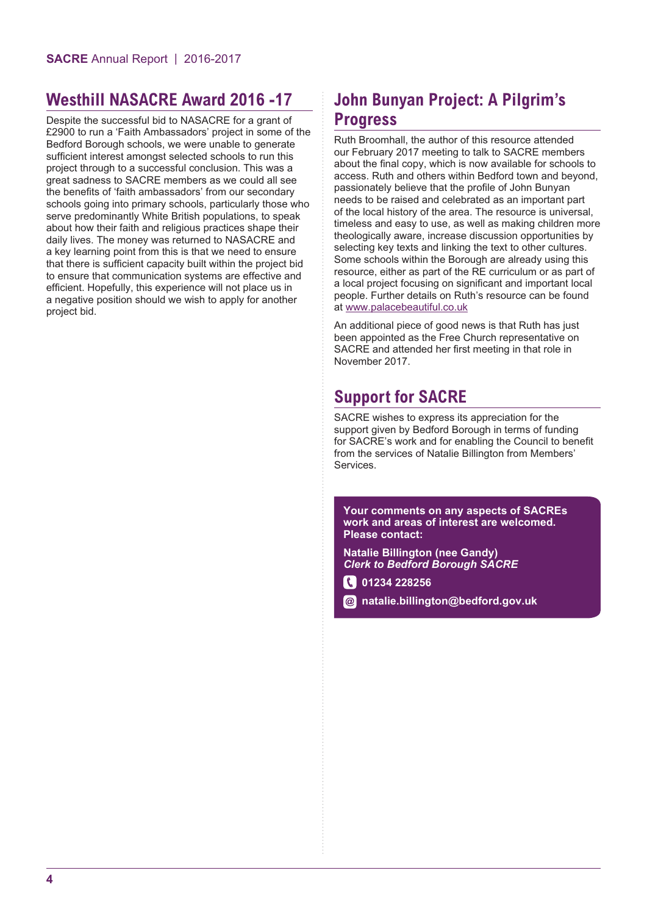## **Westhill NASACRE Award 2016 -17**

Despite the successful bid to NASACRE for a grant of £2900 to run a 'Faith Ambassadors' project in some of the Bedford Borough schools, we were unable to generate sufficient interest amongst selected schools to run this project through to a successful conclusion. This was a great sadness to SACRE members as we could all see the benefits of 'faith ambassadors' from our secondary schools going into primary schools, particularly those who serve predominantly White British populations, to speak about how their faith and religious practices shape their daily lives. The money was returned to NASACRE and a key learning point from this is that we need to ensure that there is sufficient capacity built within the project bid to ensure that communication systems are effective and efficient. Hopefully, this experience will not place us in a negative position should we wish to apply for another project bid.

# **John Bunyan Project: A Pilgrim's Progress**

Ruth Broomhall, the author of this resource attended our February 2017 meeting to talk to SACRE members about the final copy, which is now available for schools to access. Ruth and others within Bedford town and beyond, passionately believe that the profile of John Bunyan needs to be raised and celebrated as an important part of the local history of the area. The resource is universal, timeless and easy to use, as well as making children more theologically aware, increase discussion opportunities by selecting key texts and linking the text to other cultures. Some schools within the Borough are already using this resource, either as part of the RE curriculum or as part of a local project focusing on significant and important local people. Further details on Ruth's resource can be found at www.palacebeautiful.co.uk

An additional piece of good news is that Ruth has just been appointed as the Free Church representative on SACRE and attended her first meeting in that role in November 2017.

## **Support for SACRE**

SACRE wishes to express its appreciation for the support given by Bedford Borough in terms of funding for SACRE's work and for enabling the Council to benefit from the services of Natalie Billington from Members' Services.

**Your comments on any aspects of SACREs work and areas of interest are welcomed. Please contact:**

**Natalie Billington (nee Gandy)** *Clerk to Bedford Borough SACRE*

**1234 228256** 

**natalie.billington@bedford.gov.uk**